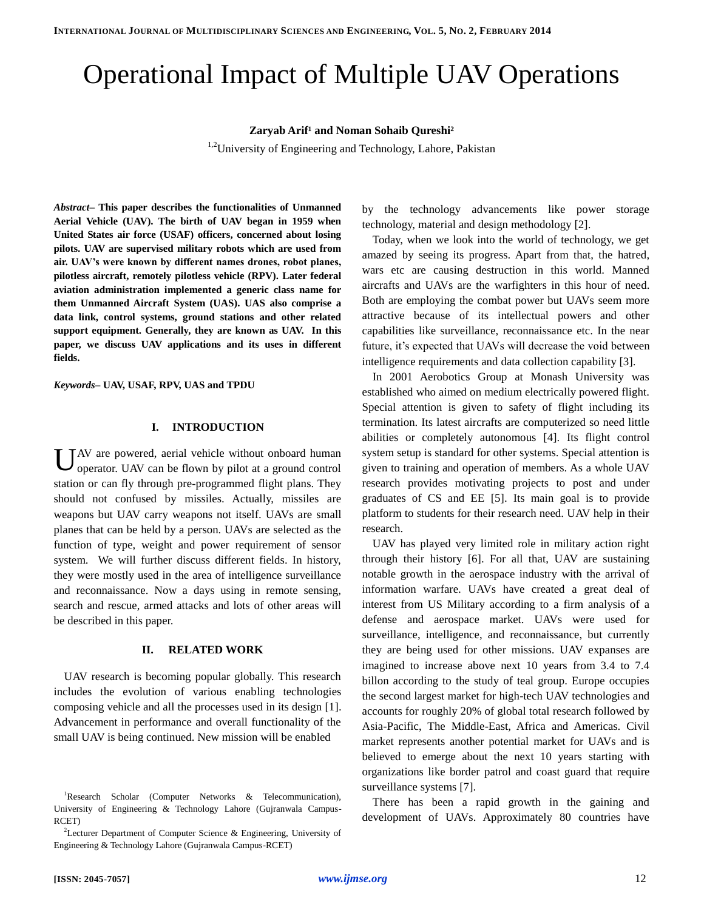# Operational Impact of Multiple UAV Operations

## **Zaryab Arif<sup>1</sup> and Noman Sohaib Qureshi<sup>2</sup>**

<sup>1,2</sup>University of Engineering and Technology, Lahore, Pakistan

*Abstract–* **This paper describes the functionalities of Unmanned Aerial Vehicle (UAV). The birth of UAV began in 1959 when United States air force (USAF) officers, concerned about losing pilots. UAV are supervised military robots which are used from air. UAV's were known by different names drones, robot planes, pilotless aircraft, remotely pilotless vehicle (RPV). Later federal aviation administration implemented a generic class name for them Unmanned Aircraft System (UAS). UAS also comprise a data link, control systems, ground stations and other related support equipment. Generally, they are known as UAV. In this paper, we discuss UAV applications and its uses in different fields.** 

*Keywords–* **UAV, USAF, RPV, UAS and TPDU**

## **I. INTRODUCTION**

U AV are powered, aerial vehicle without onboard human<br>operator. UAV can be flown by pilot at a ground control operator. UAV can be flown by pilot at a ground control station or can fly through pre-programmed flight plans. They should not confused by missiles. Actually, missiles are weapons but UAV carry weapons not itself. UAVs are small planes that can be held by a person. UAVs are selected as the function of type, weight and power requirement of sensor system. We will further discuss different fields. In history, they were mostly used in the area of intelligence surveillance and reconnaissance. Now a days using in remote sensing, search and rescue, armed attacks and lots of other areas will be described in this paper.

## **II. RELATED WORK**

UAV research is becoming popular globally. This research includes the evolution of various enabling technologies composing vehicle and all the processes used in its design [1]. Advancement in performance and overall functionality of the small UAV is being continued. New mission will be enabled

by the technology advancements like power storage technology, material and design methodology [2].

Today, when we look into the world of technology, we get amazed by seeing its progress. Apart from that, the hatred, wars etc are causing destruction in this world. Manned aircrafts and UAVs are the warfighters in this hour of need. Both are employing the combat power but UAVs seem more attractive because of its intellectual powers and other capabilities like surveillance, reconnaissance etc. In the near future, it's expected that UAVs will decrease the void between intelligence requirements and data collection capability [3].

In 2001 Aerobotics Group at Monash University was established who aimed on medium electrically powered flight. Special attention is given to safety of flight including its termination. Its latest aircrafts are computerized so need little abilities or completely autonomous [4]. Its flight control system setup is standard for other systems. Special attention is given to training and operation of members. As a whole UAV research provides motivating projects to post and under graduates of CS and EE [5]. Its main goal is to provide platform to students for their research need. UAV help in their research.

UAV has played very limited role in military action right through their history [6]. For all that, UAV are sustaining notable growth in the aerospace industry with the arrival of information warfare. UAVs have created a great deal of interest from US Military according to a firm analysis of a defense and aerospace market. UAVs were used for surveillance, intelligence, and reconnaissance, but currently they are being used for other missions. UAV expanses are imagined to increase above next 10 years from 3.4 to 7.4 billon according to the study of teal group. Europe occupies the second largest market for high-tech UAV technologies and accounts for roughly 20% of global total research followed by Asia-Pacific, The Middle-East, Africa and Americas. Civil market represents another potential market for UAVs and is believed to emerge about the next 10 years starting with organizations like border patrol and coast guard that require surveillance systems [7].

There has been a rapid growth in the gaining and development of UAVs. Approximately 80 countries have

<sup>&</sup>lt;sup>1</sup>Research Scholar (Computer Networks & Telecommunication), University of Engineering & Technology Lahore (Gujranwala Campus-RCET)

<sup>&</sup>lt;sup>2</sup>Lecturer Department of Computer Science & Engineering, University of Engineering & Technology Lahore (Gujranwala Campus-RCET)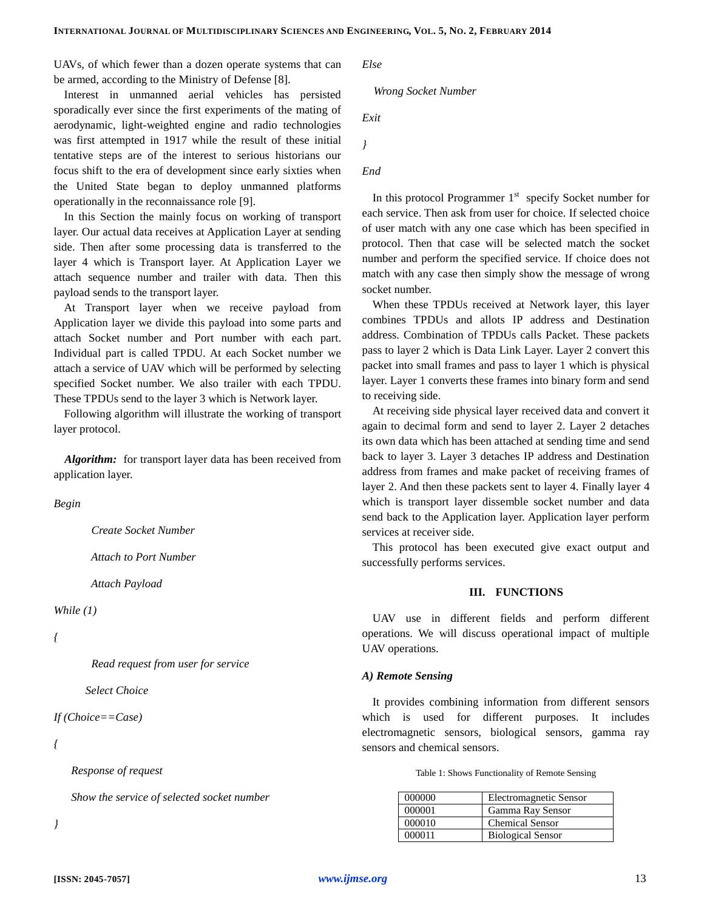UAVs, of which fewer than a dozen operate systems that can be armed, according to the Ministry of Defense [8].

Interest in unmanned aerial vehicles has persisted sporadically ever since the first experiments of the mating of aerodynamic, light-weighted engine and radio technologies was first attempted in 1917 while the result of these initial tentative steps are of the interest to serious historians our focus shift to the era of development since early sixties when the United State began to deploy unmanned platforms operationally in the reconnaissance role [9].

In this Section the mainly focus on working of transport layer. Our actual data receives at Application Layer at sending side. Then after some processing data is transferred to the layer 4 which is Transport layer. At Application Layer we attach sequence number and trailer with data. Then this payload sends to the transport layer.

At Transport layer when we receive payload from Application layer we divide this payload into some parts and attach Socket number and Port number with each part. Individual part is called TPDU. At each Socket number we attach a service of UAV which will be performed by selecting specified Socket number. We also trailer with each TPDU. These TPDUs send to the layer 3 which is Network layer.

Following algorithm will illustrate the working of transport layer protocol.

*Algorithm:* for transport layer data has been received from application layer.

## *Begin*

 *Create Socket Number*

 *Attach to Port Number*

 *Attach Payload*

*While (1)*

#### *{*

 *Read request from user for service*

 *Select Choice*

```
If (Choice==Case)
```
*{*

 *Response of request*

 *Show the service of selected socket number*

*}*

*Else*

#### *Wrong Socket Number*

*Exit*

*}*

```
End
```
In this protocol Programmer  $1<sup>st</sup>$  specify Socket number for each service. Then ask from user for choice. If selected choice of user match with any one case which has been specified in protocol. Then that case will be selected match the socket number and perform the specified service. If choice does not match with any case then simply show the message of wrong socket number.

When these TPDUs received at Network layer, this layer combines TPDUs and allots IP address and Destination address. Combination of TPDUs calls Packet. These packets pass to layer 2 which is Data Link Layer. Layer 2 convert this packet into small frames and pass to layer 1 which is physical layer. Layer 1 converts these frames into binary form and send to receiving side.

At receiving side physical layer received data and convert it again to decimal form and send to layer 2. Layer 2 detaches its own data which has been attached at sending time and send back to layer 3. Layer 3 detaches IP address and Destination address from frames and make packet of receiving frames of layer 2. And then these packets sent to layer 4. Finally layer 4 which is transport layer dissemble socket number and data send back to the Application layer. Application layer perform services at receiver side.

This protocol has been executed give exact output and successfully performs services.

#### **III. FUNCTIONS**

UAV use in different fields and perform different operations. We will discuss operational impact of multiple UAV operations.

#### *A) Remote Sensing*

It provides combining information from different sensors which is used for different purposes. It includes electromagnetic sensors, biological sensors, gamma ray sensors and chemical sensors.

Table 1: Shows Functionality of Remote Sensing

| 000000 | Electromagnetic Sensor   |
|--------|--------------------------|
| 000001 | Gamma Ray Sensor         |
| 000010 | <b>Chemical Sensor</b>   |
| 000011 | <b>Biological Sensor</b> |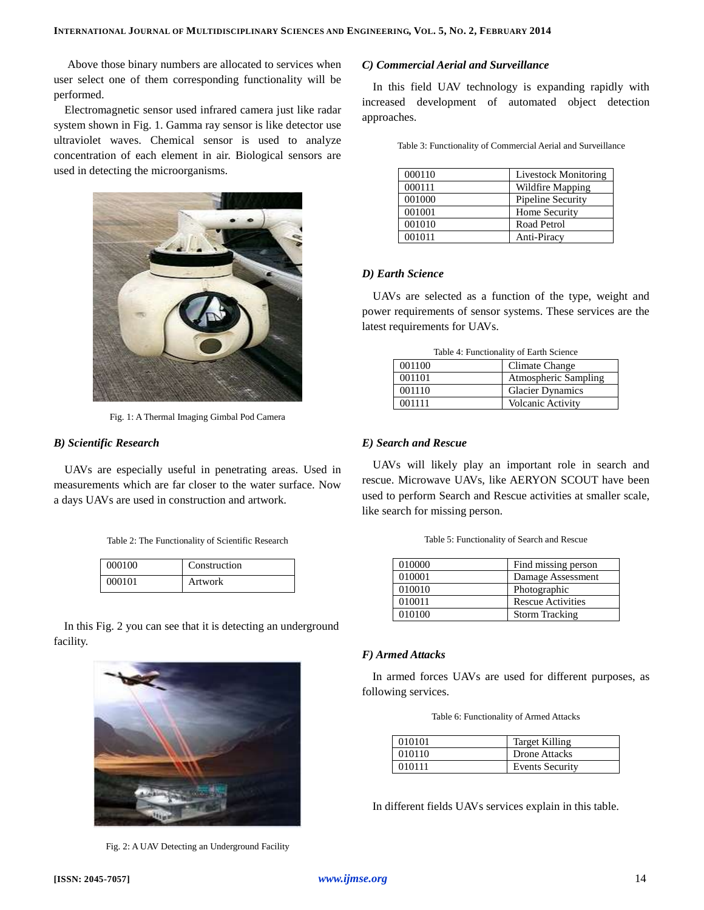Above those binary numbers are allocated to services when user select one of them corresponding functionality will be performed.

Electromagnetic sensor used infrared camera just like radar system shown in Fig. 1. Gamma ray sensor is like detector use ultraviolet waves. Chemical sensor is used to analyze concentration of each element in air. Biological sensors are used in detecting the microorganisms.



Fig. 1: A Thermal Imaging Gimbal Pod Camera

# *B) Scientific Research*

UAVs are especially useful in penetrating areas. Used in measurements which are far closer to the water surface. Now a days UAVs are used in construction and artwork.

|  | Table 2: The Functionality of Scientific Research |  |  |
|--|---------------------------------------------------|--|--|
|--|---------------------------------------------------|--|--|

| 000100 | Construction |
|--------|--------------|
| 000101 | Artwork      |

In this Fig. 2 you can see that it is detecting an underground facility.



Fig. 2: A UAV Detecting an Underground Facility

#### *C) Commercial Aerial and Surveillance*

In this field UAV technology is expanding rapidly with increased development of automated object detection approaches.

| 000110 | <b>Livestock Monitoring</b> |
|--------|-----------------------------|
| 000111 | Wildfire Mapping            |
| 001000 | Pipeline Security           |
| 001001 | Home Security               |
| 001010 | Road Petrol                 |
| 001011 | Anti-Piracy                 |

## *D) Earth Science*

UAVs are selected as a function of the type, weight and power requirements of sensor systems. These services are the latest requirements for UAVs.

| Table 4: Functionality of Earth Science |                          |  |
|-----------------------------------------|--------------------------|--|
| 001100                                  | Climate Change           |  |
| 001101                                  | Atmospheric Sampling     |  |
| 001110                                  | <b>Glacier Dynamics</b>  |  |
| 001111                                  | <b>Volcanic Activity</b> |  |

## *E) Search and Rescue*

UAVs will likely play an important role in search and rescue. Microwave UAVs, like AERYON SCOUT have been used to perform Search and Rescue activities at smaller scale, like search for missing person.

| Table 5: Functionality of Search and Rescue |  |  |  |
|---------------------------------------------|--|--|--|
|---------------------------------------------|--|--|--|

| 010000 | Find missing person      |
|--------|--------------------------|
| 010001 | Damage Assessment        |
| 010010 | Photographic             |
| 010011 | <b>Rescue Activities</b> |
| 010100 | <b>Storm Tracking</b>    |

#### *F) Armed Attacks*

In armed forces UAVs are used for different purposes, as following services.

Table 6: Functionality of Armed Attacks

| 010101 | Target Killing         |
|--------|------------------------|
| 010110 | <b>Drone Attacks</b>   |
| 010111 | <b>Events Security</b> |

In different fields UAVs services explain in this table.